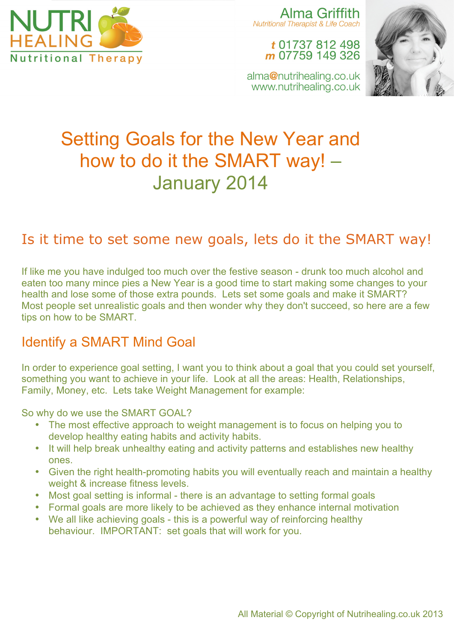

Alma Griffith **Nutritional Therapist & Life Coach** 

t 01737 812 498 m 07759 149 326



alma@nutrihealing.co.uk www.nutrihealing.co.uk

# Setting Goals for the New Year and how to do it the SMART way! – January 2014

# Is it time to set some new goals, lets do it the SMART way!

If like me you have indulged too much over the festive season - drunk too much alcohol and eaten too many mince pies a New Year is a good time to start making some changes to your health and lose some of those extra pounds. Lets set some goals and make it SMART? Most people set unrealistic goals and then wonder why they don't succeed, so here are a few tips on how to be SMART.

## Identify a SMART Mind Goal

In order to experience goal setting, I want you to think about a goal that you could set yourself, something you want to achieve in your life. Look at all the areas: Health, Relationships, Family, Money, etc. Lets take Weight Management for example:

So why do we use the SMART GOAL?

- The most effective approach to weight management is to focus on helping you to develop healthy eating habits and activity habits.
- It will help break unhealthy eating and activity patterns and establishes new healthy ones.
- Given the right health-promoting habits you will eventually reach and maintain a healthy weight & increase fitness levels.
- Most goal setting is informal there is an advantage to setting formal goals
- Formal goals are more likely to be achieved as they enhance internal motivation
- We all like achieving goals this is a powerful way of reinforcing healthy behaviour. IMPORTANT: set goals that will work for you.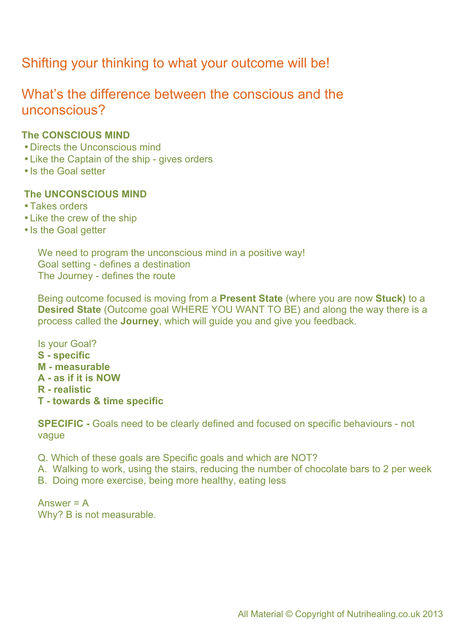# Shifting your thinking to what your outcome will be!

### What's the difference between the conscious and the unconscious?

#### **The CONSCIOUS MIND**

- •Directs the Unconscious mind
- •Like the Captain of the ship gives orders
- Is the Goal setter

#### **The UNCONSCIOUS MIND**

- •Takes orders
- •Like the crew of the ship
- Is the Goal getter

We need to program the unconscious mind in a positive way! Goal setting - defines a destination The Journey - defines the route

Being outcome focused is moving from a **Present State** (where you are now **Stuck)** to a **Desired State** (Outcome goal WHERE YOU WANT TO BE) and along the way there is a process called the **Journey**, which will guide you and give you feedback.

Is your Goal? **S - specific M - measurable A - as if it is NOW R - realistic T - towards & time specific**

**SPECIFIC -** Goals need to be clearly defined and focused on specific behaviours - not vague

Q. Which of these goals are Specific goals and which are NOT?

A. Walking to work, using the stairs, reducing the number of chocolate bars to 2 per week

B. Doing more exercise, being more healthy, eating less

Answer = A Why? B is not measurable.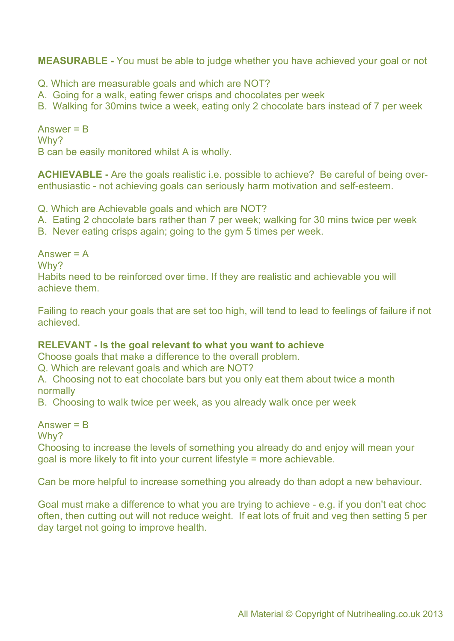**MEASURABLE -** You must be able to judge whether you have achieved your goal or not

- Q. Which are measurable goals and which are NOT?
- A. Going for a walk, eating fewer crisps and chocolates per week
- B. Walking for 30mins twice a week, eating only 2 chocolate bars instead of 7 per week

Answer = B Why? B can be easily monitored whilst A is wholly.

**ACHIEVABLE -** Are the goals realistic i.e. possible to achieve? Be careful of being overenthusiastic - not achieving goals can seriously harm motivation and self-esteem.

Q. Which are Achievable goals and which are NOT?

- A. Eating 2 chocolate bars rather than 7 per week; walking for 30 mins twice per week
- B. Never eating crisps again; going to the gym 5 times per week.

Answer  $= A$ Why? Habits need to be reinforced over time. If they are realistic and achievable you will achieve them.

Failing to reach your goals that are set too high, will tend to lead to feelings of failure if not achieved.

#### **RELEVANT - Is the goal relevant to what you want to achieve**

Choose goals that make a difference to the overall problem.

Q. Which are relevant goals and which are NOT?

A. Choosing not to eat chocolate bars but you only eat them about twice a month normally

B. Choosing to walk twice per week, as you already walk once per week

Answer = B

Why?

Choosing to increase the levels of something you already do and enjoy will mean your goal is more likely to fit into your current lifestyle = more achievable.

Can be more helpful to increase something you already do than adopt a new behaviour.

Goal must make a difference to what you are trying to achieve - e.g. if you don't eat choc often, then cutting out will not reduce weight. If eat lots of fruit and veg then setting 5 per day target not going to improve health.